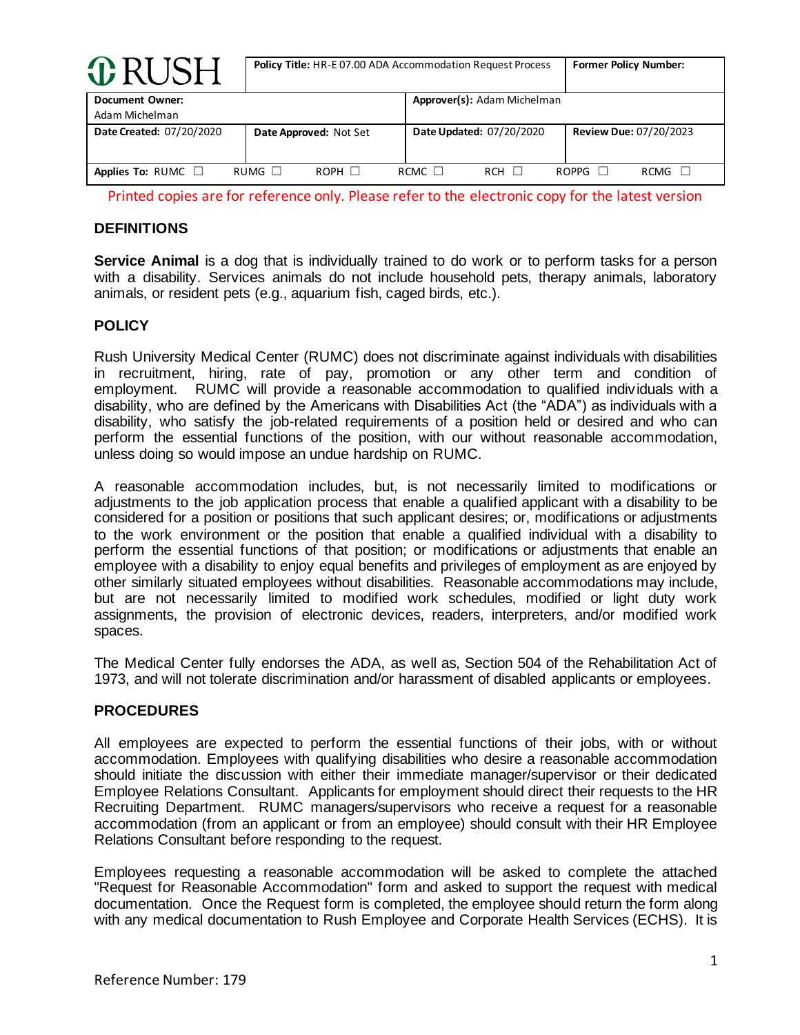| <b>O</b> RUSH                     |             | <b>Policy Title: HR-E 07.00 ADA Accommodation Request Process</b> |             | <b>Former Policy Number:</b> |              |                        |  |
|-----------------------------------|-------------|-------------------------------------------------------------------|-------------|------------------------------|--------------|------------------------|--|
| Document Owner:<br>Adam Michelman |             |                                                                   |             | Approver(s): Adam Michelman  |              |                        |  |
| Date Created: 07/20/2020          |             | Date Approved: Not Set                                            |             | Date Updated: 07/20/2020     |              | Review Due: 07/20/2023 |  |
| Applies To: RUMC $\Box$           | RUMG $\Box$ | $ROPH$ $\Box$                                                     | RCMC $\Box$ | $RCH$ $\Box$                 | <b>ROPPG</b> | $RCMG$ $\Box$          |  |

Printed copies are for reference only. Please refer to the electronic copy for the latest version

## **DEFINITIONS**

**Service Animal** is a dog that is individually trained to do work or to perform tasks for a person with a disability. Services animals do not include household pets, therapy animals, laboratory animals, or resident pets (e.g., aquarium fish, caged birds, etc.).

## **POLICY**

Rush University Medical Center (RUMC) does not discriminate against individuals with disabilities in recruitment, hiring, rate of pay, promotion or any other term and condition of employment. RUMC will provide a reasonable accommodation to qualified individuals with a disability, who are defined by the Americans with Disabilities Act (the "ADA") as individuals with a disability, who satisfy the job-related requirements of a position held or desired and who can perform the essential functions of the position, with our without reasonable accommodation, unless doing so would impose an undue hardship on RUMC.

A reasonable accommodation includes, but, is not necessarily limited to modifications or adjustments to the job application process that enable a qualified applicant with a disability to be considered for a position or positions that such applicant desires; or, modifications or adjustments to the work environment or the position that enable a qualified individual with a disability to perform the essential functions of that position; or modifications or adjustments that enable an employee with a disability to enjoy equal benefits and privileges of employment as are enjoyed by other similarly situated employees without disabilities. Reasonable accommodations may include, but are not necessarily limited to modified work schedules, modified or light duty work assignments, the provision of electronic devices, readers, interpreters, and/or modified work spaces.

The Medical Center fully endorses the ADA, as well as, Section 504 of the Rehabilitation Act of 1973, and will not tolerate discrimination and/or harassment of disabled applicants or employees.

## **PROCEDURES**

All employees are expected to perform the essential functions of their jobs, with or without accommodation. Employees with qualifying disabilities who desire a reasonable accommodation should initiate the discussion with either their immediate manager/supervisor or their dedicated Employee Relations Consultant. Applicants for employment should direct their requests to the HR Recruiting Department. RUMC managers/supervisors who receive a request for a reasonable accommodation (from an applicant or from an employee) should consult with their HR Employee Relations Consultant before responding to the request.

Employees requesting a reasonable accommodation will be asked to complete the attached "Request for Reasonable Accommodation" form and asked to support the request with medical documentation. Once the Request form is completed, the employee should return the form along with any medical documentation to Rush Employee and Corporate Health Services (ECHS). It is